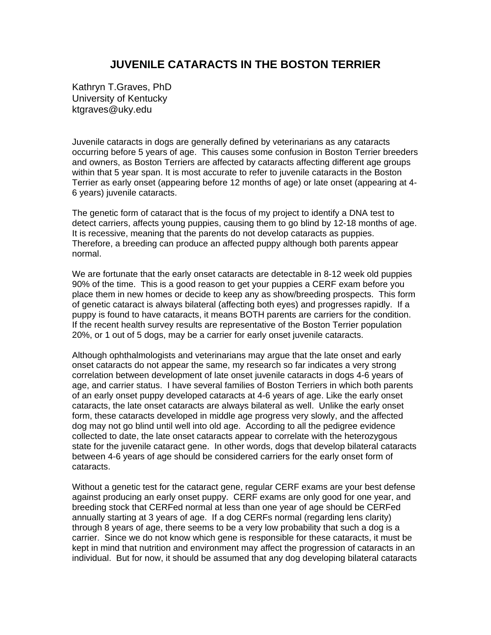## **JUVENILE CATARACTS IN THE BOSTON TERRIER**

Kathryn T.Graves, PhD University of Kentucky ktgraves@uky.edu

Juvenile cataracts in dogs are generally defined by veterinarians as any cataracts occurring before 5 years of age. This causes some confusion in Boston Terrier breeders and owners, as Boston Terriers are affected by cataracts affecting different age groups within that 5 year span. It is most accurate to refer to juvenile cataracts in the Boston Terrier as early onset (appearing before 12 months of age) or late onset (appearing at 4- 6 years) juvenile cataracts.

The genetic form of cataract that is the focus of my project to identify a DNA test to detect carriers, affects young puppies, causing them to go blind by 12-18 months of age. It is recessive, meaning that the parents do not develop cataracts as puppies. Therefore, a breeding can produce an affected puppy although both parents appear normal.

We are fortunate that the early onset cataracts are detectable in 8-12 week old puppies 90% of the time. This is a good reason to get your puppies a CERF exam before you place them in new homes or decide to keep any as show/breeding prospects. This form of genetic cataract is always bilateral (affecting both eyes) and progresses rapidly. If a puppy is found to have cataracts, it means BOTH parents are carriers for the condition. If the recent health survey results are representative of the Boston Terrier population 20%, or 1 out of 5 dogs, may be a carrier for early onset juvenile cataracts.

Although ophthalmologists and veterinarians may argue that the late onset and early onset cataracts do not appear the same, my research so far indicates a very strong correlation between development of late onset juvenile cataracts in dogs 4-6 years of age, and carrier status. I have several families of Boston Terriers in which both parents of an early onset puppy developed cataracts at 4-6 years of age. Like the early onset cataracts, the late onset cataracts are always bilateral as well. Unlike the early onset form, these cataracts developed in middle age progress very slowly, and the affected dog may not go blind until well into old age. According to all the pedigree evidence collected to date, the late onset cataracts appear to correlate with the heterozygous state for the juvenile cataract gene. In other words, dogs that develop bilateral cataracts between 4-6 years of age should be considered carriers for the early onset form of cataracts.

Without a genetic test for the cataract gene, regular CERF exams are your best defense against producing an early onset puppy. CERF exams are only good for one year, and breeding stock that CERFed normal at less than one year of age should be CERFed annually starting at 3 years of age. If a dog CERFs normal (regarding lens clarity) through 8 years of age, there seems to be a very low probability that such a dog is a carrier. Since we do not know which gene is responsible for these cataracts, it must be kept in mind that nutrition and environment may affect the progression of cataracts in an individual. But for now, it should be assumed that any dog developing bilateral cataracts